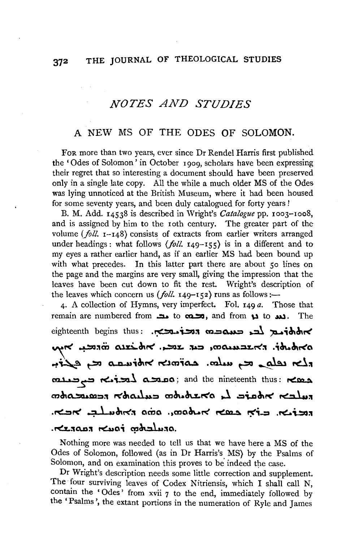## *NOTES AND STUDIES*

## A NEW MS OF THE ODES OF SOLOMON.

FoR more than two years, ever since Dr Rendel Harris first published the' Odes of Solomon' in October 1909, scholars have been expressing their regret that so interesting a document should have been preserved only in a single late copy. All the while a much older MS of the Odes was lying unnoticed at the British Museum, where it had been housed for some seventy years, and been duly catalogued for forty years l

B. M. Add. 14538 is described in Wright's *Catalogue* pp. 1003-IOo8, and is assigned by him to the 1oth century. The greater part of the volume *(foll.* 1-148) consists of extracts from earlier writers arranged under headings: what follows (*foll.* **149-155**) is in a different and to my eyes a rather earlier hand, as if an earlier MS had been bound up with what precedes. In this latter part there are about so lines on the what precedes. The this hatter part there are about 30 mms on leaves have been cut down to fit the rest. Wright's description of leaves have been cut down to fit the rest. Wright's description of the leaves which concern us  $(f \circ \theta \cdot \theta \cdot \mathbf{1} + 49 - 152)$  runs as follows:dayes which concern us (*Joh.* 149<sup>-1</sup>54) ruis as follows.<sup>22</sup>

4. A collection of Hymns, very imperfect. Fol. 149 a. Those that<br>main are numbered from  $\bullet$ . to  $\bullet$ . and from  $\bullet$ . In The eighteenth begins thus: .. השופה השלושה השלושה והבליצאה לבג בעוספים השלושה והבליצאה.<br>האלאו לבג בעוספים המכלי באו הבליצאה והבליצאה והבליצאה והבליצאה המכלים הוא המכלים היו היו היו היו היו היו היו ה  $\gamma$ הליחלי האבעונוסוס, כעד שבע. אולבעונו האדב  $\frac{1}{2}$   $\frac{1}{2}$   $\frac{1}{2}$   $\frac{1}{2}$   $\frac{1}{2}$   $\frac{1}{2}$   $\frac{1}{2}$   $\frac{1}{2}$   $\frac{1}{2}$   $\frac{1}{2}$   $\frac{1}{2}$   $\frac{1}{2}$   $\frac{1}{2}$   $\frac{1}{2}$   $\frac{1}{2}$   $\frac{1}{2}$   $\frac{1}{2}$   $\frac{1}{2}$   $\frac{1}{2}$   $\frac{1}{2}$   $\frac{1}{2}$   $\frac{1}{2}$   $m$  $k$  $m$  $n=1, n$ . resurs  $m$   $m$   $m$   $n-1$ .~!"(' ~"'f<':1 omo . ,mo~t< ~ r:c'i-= -~~='~ • f"6t.:'l C\.Jl:. r<.» C\; tp~.::sl...t :'1 C\.

Nothing more was needed to tell us that we have here a MS of the Odes of Solomon, followed (as in Dr Harris's MS) by the Psalms of Solomon, and on examination this proves to be indeed the case.

Dr Wright's description needs some little correction and supplement. The four surviving leaves of Codex Nitriensis, which I shall call N, contain the  $(\Omega_{\text{tot}})$  from  $\Omega_{\text{tot}}$  in the end, in the end, in the end, in the end, in the end, in the end, in the end, in the end, in the end, in the end, in the end, in the end, in the end of the end of the end of t the  $\frac{1}{2}$  the extent portions in the numeration of Ryle and James in the numerical  $\frac{1}{2}$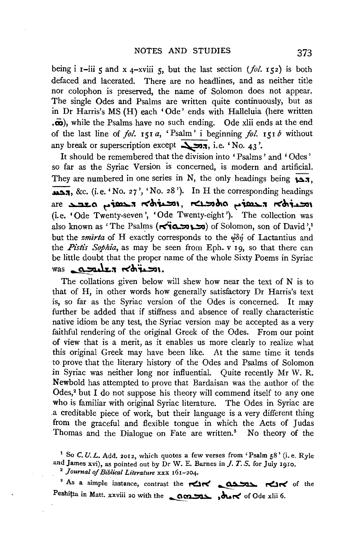being i  $\mathbf{r}$ -iii 5 and x 4-xviii 5, but the last section (*fol.*  $\mathbf{r}_5$ ) is both defaced and lacerated. There are no headlines, and as neither title nor colophon is preserved, the name of Solomon does not appear. The single Odes and Psalms are written quite continuously, but as in Dr Harris's MS (H) each 'Ode' ends with Halleluia (here written  $\overline{m}$ , while the Psalms have no such ending. Ode xlii ends at the end of the last line of *jol.* 151 *a,* 'Psalm' i beginning *fol.* 151 *b* without any break or superscription except  $\sum_{n=1}^{\infty}$ , i.e. 'No. 43'.

It should be remembered that the division into ' Psalms ' and ' Odes ' so far as the Syriac Version is concerned, is modern and artificial. They are numbered in one series in N, the only headings being  $\overline{13}$ ,  $\overline{3, 3, 6}$  &c. (i.e. 'No. 27', 'No. 28'). In H the corresponding headings  $\arctan$   $\arctan$ ,  $\arctan$ ,  $\arctan$ ,  $\arctan$ (i.e. 'Ode Twenty-seven', 'Ode Twenty-eight'). The collection was also known as ' The Psalms ( $\star$ i $\leftrightarrow$ ) of Solomon, son of David', but the *zmirta* of H exactly corresponds to the  $\omega \delta \eta$  of Lactantius and the *Pistis Sophia*, as may be seen from Eph. v 19, so that there can be little doubt that the proper name of the whole Sixty Poems in Syriac was **a sales**  $\kappa$ *b*  $\ddot{u}$   $\ddot{m}$ .

The collations given below will shew how near the text of N is to that of H, in other words how generally satisfactory Dr Harris's text is, so far as the Syriac version of the Odes is concerned. It may further be added that if stiffness and absence of really characteristic native idiom be any test, the Syriac version may be accepted as a very faithful rendering of the original Greek of the Odes. From our point of view that is a merit, as it enables us more clearly to realize what this original Greek may have been like. At the same time it tends to prove that the literary history of the Odes and Psalms of Solomon in Syriac was neither long nor influential. Quite recently Mr W. R. Newbold has attempted to prove that Bardaisan was the author of the Odes,<sup>2</sup> but I do not suppose his theory will commend itself to any one who is familiar with original Syriac literature. The Odes in Syriac are .a creditable piece of work, but their language is a very different thing from the graceful and flexible tongue in which the Acts of Judas Thomas and the Dialogue on Fate are written.<sup>8</sup> No theory of the

<sup>1</sup> So C. U. L. Add. 2012, which quotes a few verses from 'Psalm 58' (i.e. Ryle .and James xvi), as pointed out by Dr W. E. Barnes *in]. T. S.* for July 1910.

<sup>2</sup>*Journal of Biblical Literature* xxx r61-204.

3 As a simple instance, contrast the **the state of the state of the** Peshitta in Matt. xxviii 20 with the  $\alpha \rightarrow \rightarrow$  ,  $\alpha$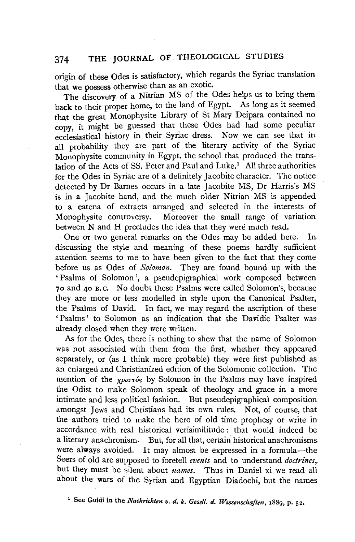origin of these Odes is satisfactory, which regards the Syriac translation that we possess otherwise than as an exotic.

The discovery of a Nitrian MS of the Odes helps us to bring them back to their proper home, to the land of Egypt. As long as it seemed that the great Monophysite Library of St Mary Deipara contained no copy, it might be guessed that these Odes had had some peculiar ecclesiastical history in their Syriac dress. Now we can see that in all probability they are part of the literary activity of the Syriac Monophysite community in Egypt, the school that produced the translation of the Acts of SS. Peter and Paul and Luke.<sup>1</sup> All three authorities for the Odes in Syriac are of a definitely Jacobite character. The notice detected by Dr Barnes occurs in a late Jacobite MS, Dr Harris's MS 'is in a Jacobite hand, and the much older Nitrian MS is appended to a catena of extracts arranged and selected in the interests of Monophysite controversy. Moreover the small range of variation between N and H precludes the idea that they were much read.

One or two general remarks on the Odes may be added here. In discussing the style and meaning of these poems hardly sufficient attention seems to me to have been given to the fact that they come before us as Odes of *Solomon.* They are found bound up with the 'Psalms of Solomon', a pseudepigraphical work composed between 70 and 40 B.C. No doubt these Psalms were called Solomon's, because they are more or less modelled in style upon the Canonical Psalter, the Psalms of David. In fact, we may regard the ascription of these ' Psalms ' to ·Solomon as an indication that the Davidic Psalter was already closed when they were written.

As for the Odes, there is nothing to shew that the name of Solomon was not associated with them from the first, whether they appeared separately, or (as I think more probable) they were first published as an enlarged and Christianized edition of the Solomonic collection. The mention of the  $\gamma_{\mu\nu}$  or  $\gamma_{\mu}$  Solomon in the Psalms may have inspired the Odist to make Solomon speak of theology and grace in a more intimate and less political fashion. But pseudepigraphical composition amongst Jews and Christians had its own rules. Not, of course, that the authors tried to make the hero of old time prophesy or write in accordance with real historical verisimilitude : that would indeed be a literary anachronism. But, for all that, certain historical anachronisms. were always avoided. It may almost be expressed in a formula-the Seers of old are supposed to foretell *events* and to understand *doctrines*, but they must be silent about *names.* Thus in Daniel xi we read all about the wars of the Syrian and Egyptian Diadochi, but the names

<sup>1</sup> See Guidi in the *Nachrichten v. d. k. Gesell. d. Wissenschaften*, 1889, p. 52.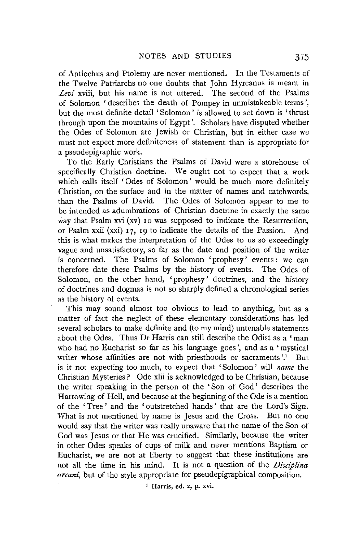of Antiochus and Ptolemy are never mentioned. In the Testaments of the Twelve Patriarchs no one doubts that John Hyrcanus is meant in *Levi* xviii, but his name is not uttered. The second of the Psalms of Solomon ' describes the death of Pompey in unmistakeable terms', but the most definite detail 'Solomon ' is allowed to set down is 'thrust through upon the mountains of Egypt '. Scholars have disputed whether the Odes of Solomon are Jewish or Christian, but in either case we must not expect more definiteness of statement than is appropriate for a pseudepigraphic work.

To the Early Christians the Psalms of David were a storehouse of specifically Christian doctrine. We ought not to expect that a work which calls itself 'Odes of Solomon' would be much more definitely Christian, on the surface and in the matter of names and catchwords, than the Psalms of David. The Odes of Solomon appear to me to be intended as adumbrations of Christian doctrine in exactly the same way that Psalm xvi (xv) 10 was supposed to indicate the Resurrection. or Psalm xxii (xxi)  $17$ , 19 to indicate the details of the Passion. And this is what makes the interpretation of the Odes to us so exceedingly vague and unsatisfactory, so far as the date and position of the writer is concerned. The Psalms of Solomon 'prophesy' events: we can therefore date these Psalms by the history of events. The Odes of Solomon, on the other hand, 'prophesy' doctrines, and the history of doctrines and dogmas is not so sharply defined a chronological series as the history of events.

This may sound almost too obvious to lead to anything, but as a matter of fact the neglect of these elementary considerations has led several scholars to make definite and (to my mind) untenable statements about the Odes. Thus Dr Harris can still describe the Odist as a ' man who had no Eucharist so far as his language goes ', and as a ' mystical writer whose affinities are not with priesthoods or sacraments'.<sup>1</sup> But is it not expecting too much, to expect that 'Solomon' will *name* the Christian Mysteries? Ode xlii is acknowledged to be Christian, because the writer speaking in the person of the ' Son of God' describes the Harrowing of Hell, and because at the beginning of the Ode is a mention of the 'Tree ' and the ' outstretched hands ' that are the Lord's Sign. What is not mentioned by name is Jesus and the Cross. But no one would say that the writer was really unaware that the name of the Son of God was Jesus or that He was crucified. Similarly, because the writer in other Odes speaks of cups of milk and never mentions Baptism or Eucharist, we are not at liberty to suggest that these institutions are not all the time in his mind. It is not a question of the *Disciplina arcani,* but of the style appropriate for pseudepigraphical composition.

1 Harris, ed. 2, p. xvi.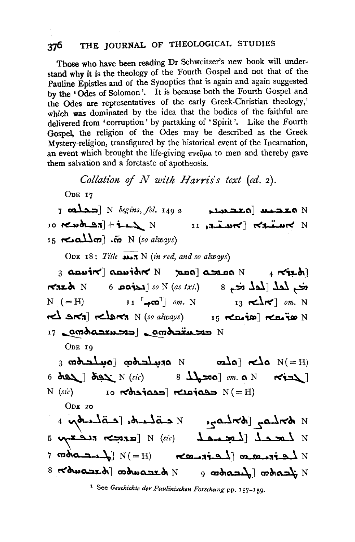Those who have been reading Dr Schweitzer's new book will understand why it is the theology of the Fourth Gospel and not that of the Pauline Epistles and of the Synoptics that is again and again suggested by the 'Odes of Solomon'. It is because both the Fourth Gospel and the Odes are representatives of the early Greek-Christian theology,<sup>1</sup> which was dominated by the idea that the bodies of the faithful are delivered from 'corruption' by partaking of 'Spirit'. Like the Fourth Gospel, the religion of the Odes may be described as the Greek Mystery-religion, transfigured by the historical event of the Incarnation, an event which brought the life-giving  $\pi v \in \hat{v}$  and there is a there is gave them salvation and a foretaste of apotheosis.

Оре 17

 $7 \text{ value}$  N *begins, fol.* 149 a strated means N IO KNOWST- ELL N V VIE AND OI  $15$   $\sim$  aller]  $\tilde{m}$  N (so always)

ODE 18: Tille No. 7 N (in red, and so always)

 $_3$  anix | مصدم  $\sim N$  ممحم  $\sim N$  مصدم  $N$  محدم  $N$  $\star$ 52  $\star$  N (as txt.)  $\star$  8 (As txt.)  $N (= H)$   $I_1 \sim m^{-1}$   $\sim N$   $I_3 \sim N$   $\sim N$  $r \triangle$  arts]  $r \triangle$  larts  $N$  (so always)  $r_5$  relation  $N$ 17 combanner (commander) N

**ODE 19** 

 $_3$  add  $_8$  and  $_3$  and  $_7$  and  $_8$  and  $_8$  and  $_8$  and  $_7$  and  $_8$  and  $_8$  and  $_7$  and  $_8$  and  $_7$  and  $_8$  and  $_7$  and  $_8$  and  $_7$  and  $_8$  and  $_7$  and  $_8$  and  $_7$  and  $_8$  and  $_7$  and  $_8$  and  $_8$  $6$  des  $[$  des  $N$  (sic)  $8$   $\frac{1}{2}$  and  $\frac{1}{2}$  on  $\frac{1}{2}$  $N$  (sic) ODE 20

 $5 \sqrt{2}$   $1 \sqrt{2}$   $1 \sqrt{sin}$   $1 \sqrt{sin}$   $1 \sqrt{2}$   $1 \sqrt{2}$   $1 \sqrt{2}$  $7 \text{ which are } N = H$   $N = H$   $\sim 200 \text{ m/s}^{-1}$  $8$  κόπος τη ωρηστερ  $N$  (φ ωριστή ωριστή ν

<sup>&</sup>lt;sup>1</sup> See Geschichte der Paulinischen Forschung pp. 157-159.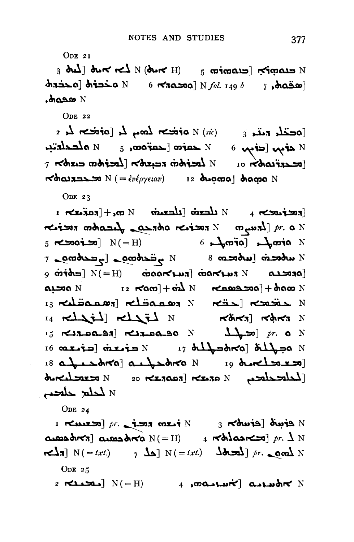ODE 21

 $_3$  dud  $_3$  dure  $_5$  mimal  $_5$  mimal  $_7$  mimal  $_8$  $\lambda$ هقه $\lambda$  و محدد  $N$  (  $\lambda$  محدد  $N$  /0)  $N$  (  $\lambda$  ،  $\lambda$  ) (  $\lambda$   $\lambda$  )  $\cdot$ dasa N

ODE 22

 $\mathbf{z}$  pol restriction  $\mathbf{A}$  (sic) and  $\mathbf{A}$  [order  $\mathbf{A}$  is  $\mathbf{A}$  is a set of  $\mathbf{A}$  is a set of  $\mathbf{A}$  is a set of  $\mathbf{A}$  is a set of  $\mathbf{A}$  is a set of  $\mathbf{A}$  is a set of  $\mathbf{A}$  is a set of  $\$  $N$  aig  $N$  aig  $N$  aig  $N$  aig  $N$  and  $N$  and  $N$  $\tau$  Koziz motical Kazing neizozy [faziqu cizy  $\kappa$ dante march  $N$  (=  $\epsilon v \epsilon \rho y \epsilon u v$ )  $\kappa v$  decord dama N

ODE  $23$ 

 $\mathbf{r}$   $\mathbf{r}$   $\mathbf{r}$   $\mathbf{r}$   $\mathbf{r}$   $\mathbf{r}$   $\mathbf{r}$   $\mathbf{r}$   $\mathbf{r}$   $\mathbf{r}$   $\mathbf{r}$   $\mathbf{r}$   $\mathbf{r}$   $\mathbf{r}$   $\mathbf{r}$   $\mathbf{r}$   $\mathbf{r}$   $\mathbf{r}$   $\mathbf{r}$   $\mathbf{r}$   $\mathbf{r}$   $\mathbf{r}$   $\mathbf{r}$   $\mathbf{r}$   $\mathbf{$  $\pi$  it is a hetical control metics  $N$  and  $\pi$ . a  $N$  $5 \text{ km/s}$   $N (= H)$   $6 \text{ km/s}$   $\sqrt{m^2 + 4}$   $\text{ km/s}$   $N$  $\left[ \begin{array}{ccc} \rho & \text{if } \theta = 0 \\ 0 & \text{if } \theta = 0 \end{array} \right]$  and  $\left[ \begin{array}{ccc} \text{if } \theta = 0 \\ \text{if } \theta = 0 \end{array} \right]$ I3 KNSAARS [KAAASA K KAAASA K  $18$  at the direct and the state of the state of  $N$  $\delta$ N لمحلع حلحت

ODE 24

 $\mathbf{N}$  etuto  $\mathbf{N}$  i. Extra net  $\mathbf{N}$  and  $\mathbf{N}$  are  $\mathbf{N}$  $\alpha$   $\alpha$   $\beta$   $\gamma$   $\alpha$   $\beta$   $\alpha$   $\beta$   $\alpha$   $\beta$   $\alpha$   $\beta$   $\beta$   $\gamma$   $\alpha$   $\beta$   $\beta$   $\gamma$   $\beta$   $\beta$  $\mathbb{R}$   $\mathbb{R}$   $\mathbb{R}$   $\mathbb{R}$   $\mathbb{R}$   $\mathbb{R}$   $\mathbb{R}$   $\mathbb{R}$   $\mathbb{R}$   $\mathbb{R}$   $\mathbb{R}$   $\mathbb{R}$   $\mathbb{R}$   $\mathbb{R}$   $\mathbb{R}$   $\mathbb{R}$   $\mathbb{R}$   $\mathbb{R}$   $\mathbb{R}$   $\mathbb{R}$   $\mathbb{R}$   $\mathbb{R}$   $\mathbb{R}$   $\mathbb{R}$   $\mathbb{$ ODE  $25$  $2 \text{ times } N (= H)$  4,  $\text{max} N$  asked  $N$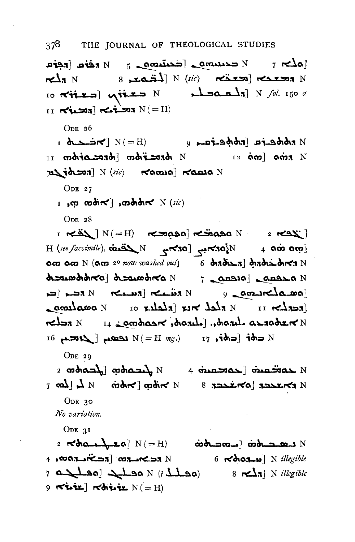378 THE JOURNAL OF THEOLOGICAL STUDIES  $\mathbf{p}$ (ملحى  $N = \mathbf{p}$  حديدى مى التكتيف من التكويم (م  $\star$ 1, N 8,  $\star$ 0 $\Xi$ 1 N (sic)  $\star$ 2227  $\star$  1 N IO Kiixa] Wiixa N Landi N fol. 150 a  $_{\text{II}}$   $\kappa$   $\kappa$   $\kappa$   $\kappa$   $\kappa$   $\kappa$   $\kappa$   $\kappa$   $\kappa$   $\kappa$ ODE  $26$  $N = A$   $\star$   $\star$   $N = H$ )  $N = H$ E monic sub and the faction [http://t.com  $\pi\lambda$  identify  $N$  (sic)  $\pi$  cano  $\pi$   $\lambda$   $\alpha$ ODE 27  $\mathbf{r}$ , m mbho, [mbm m,  $\mathbf{r}$  $ODE 28$  $\mathbb{E}[\mathbf{X} \in \mathbb{R}^N \mid N(1-H) \in \mathbb{R}^N]$  r  $\mathbb{E}[\mathbf{X} \in \mathbb{R}^N]$  $H$  (see facsimile),  $\dot{\mathbf{m}}$   $N$   $\mathbf{m}$   $\mathbf{m}$   $\mathbf{m}$   $\mathbf{m}$   $\mathbf{m}$   $\mathbf{m}$   $\mathbf{m}$   $\mathbf{m}$   $\mathbf{m}$   $\mathbf{m}$   $\mathbf{m}$   $\mathbf{m}$   $\mathbf{m}$   $\mathbf{m}$   $\mathbf{m}$   $\mathbf{m}$   $\mathbf{m}$   $\mathbf{m}$   $\mathbf{m}$   $\mathbf{m}$   $\mathbf{$ ασι ασι Ν (ασι 20 now washed out) 6 διπδελή διπλεύται Ν  $\alpha$ mento) gravaque  $N$  (  $\alpha$ mento  $N$  $[open]\times$  1 N  $[real]$   $[real]$   $[real]$ rexlama N 10 xilaliz xix lala N 11 xilang relation of the original, hand, associated ODE 29  $\mathbf{a}$  adact  $\mathbf{b}$  and  $\mathbf{b}$  and  $\mathbf{b}$  and  $\mathbf{c}$  $7 \text{ cm}$  $1 \text{ cm} \text{ cm}$  $1 \text{ cm} \text{ cm}$  $1 \text{ cm} \text{ cm}$  $1 \text{ cm} \text{ cm}$  $1 \text{ cm} \text{ cm}$  $ODE$  30 No variation. ODE  $31$  $\mathbf{a}$   $\mathbf{b}$  $\frac{1}{4}$ , mo.  $\frac{1}{2}$  =  $\frac{1}{2}$  =  $\frac{1}{2}$  =  $\frac{1}{2}$  =  $\frac{1}{2}$  =  $\frac{1}{2}$  =  $\frac{1}{2}$  =  $\frac{1}{2}$  =  $\frac{1}{2}$  =  $\frac{1}{2}$  =  $\frac{1}{2}$  =  $\frac{1}{2}$  =  $\frac{1}{2}$  =  $\frac{1}{2}$  =  $\frac{1}{2}$  =  $\frac{1}{2}$  =  $\frac{1}{2}$  =  $\$  $9$  Kirix] Konizix  $N(=H)$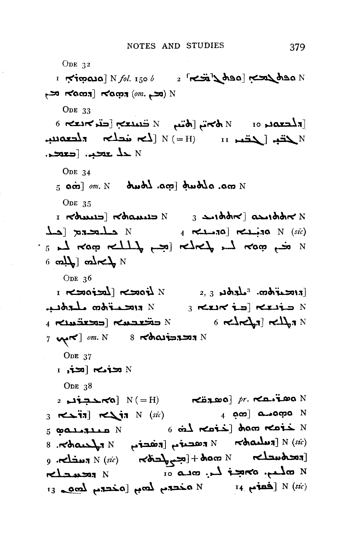ODE 32  $I$   $\tilde{N}$   $\tilde{N}$   $\tilde{N}$   $\tilde{N}$   $\tilde{N}$   $\tilde{N}$   $\tilde{N}$   $\tilde{N}$   $\tilde{N}$   $\tilde{N}$   $\tilde{N}$   $\tilde{N}$   $\tilde{N}$   $\tilde{N}$   $\tilde{N}$   $\tilde{N}$   $\tilde{N}$   $\tilde{N}$   $\tilde{N}$   $\tilde{N}$   $\tilde{N}$   $\tilde{N}$   $\tilde{N}$   $\tilde{N}$   $\sim$ ר המסא המסא מכ $(om.$ בא השפ ODE 33  $\delta$  المحمد (10 محتمر العامي المتنبية المحمد (15/محمد محمد 10 محمد المحمد العاملية العاملية العاملية العاملية العاملية العاملية العاملية العاملية العاملية العاملية العاملية العاملية العاملية العاملية العاملية العاملية ال  $N$   $\mathcal{L}$ قبر  $\mathbf{H}$  (=H)  $N$  (=H)  $\mathbf{H}$   $\mathbf{H}$   $\mathbf{H}$   $\mathbf{H}$  $x = 1$   $x = 1$ ODE  $34$  $K_{5}$  αφι  $\left[\text{cm}\right]$  απ. Ν επιτείτες διασίας διαστείτες διαστείτες διαστείτες διαστείτες διαστείτες διαστείτες διαστείτες διαστείτες διαστείτες διαστείτες διαστείτες διαστείτες διαστείτες διαστείτες διαστείτες διαστείτ ODE 35  $I$  Koronta  $N = 3$  Typpics  $N = 3$  $\begin{array}{ccccc}\n\text{S.} & \text{S.} & \text{S.} & \text{S.} & \text{S.} & \text{S.} & \text{S.} & \text{S.} & \text{S.} & \text{S.} & \text{S.} & \text{S.} & \text{S.} & \text{S.} & \text{S.} & \text{S.} & \text{S.} & \text{S.} & \text{S.} & \text{S.} & \text{S.} & \text{S.} & \text{S.} & \text{S.} & \text{S.} & \text{S.} & \text{S.} & \text{S.} & \text{S.} & \text{S.} & \$  $6$  all  $ad$   $K$  N ODE  $36$  $\mathbf{z}$  rection.  $\mathbf{z}_{t}$  and  $\mathbf{z}_{t}$  and  $\mathbf{z}_{t}$  is  $\mathbf{z}_{t}$  $\mathbf{a}$   $\mathbf{b}$   $\mathbf{c}$   $\mathbf{d}$   $\mathbf{b}$   $\mathbf{d}$   $\mathbf{c}$   $\mathbf{d}$   $\mathbf{c}$   $\mathbf{d}$   $\mathbf{e}$   $\mathbf{d}$   $\mathbf{e}$   $\mathbf{e}$   $\mathbf{e}$   $\mathbf{e}$   $\mathbf{e}$   $\mathbf{e}$   $\mathbf{e}$   $\mathbf{e}$   $\mathbf{e}$   $\mathbf{e}$   $\mathbf{e}$   $\mathbf{e}$   $\mathbf{$  $\frac{1}{4}$   $\frac{1}{2}$   $\frac{1}{2}$   $\frac{1}{2}$   $\frac{1}{2}$   $\frac{1}{2}$   $\frac{1}{2}$   $\frac{1}{2}$   $\frac{1}{2}$   $\frac{1}{2}$   $\frac{1}{2}$   $\frac{1}{2}$   $\frac{1}{2}$   $\frac{1}{2}$   $\frac{1}{2}$   $\frac{1}{2}$   $\frac{1}{2}$   $\frac{1}{2}$   $\frac{1}{2}$   $\frac{1}{2}$   $\frac{1}{2}$   $\frac{1}{2}$   $7 \sqrt{M}$  om. N 8  $\pi$ dais  $3 \pi N$ ODE  $37$ **N** rein [rein] ODE  $38$  $\mathbb{R}$   $\mathbb{R}$   $\mathbb{R}$   $\mathbb{R}$   $\mathbb{R}$   $\mathbb{R}$   $\mathbb{R}$   $\mathbb{R}$   $\mathbb{R}$   $\mathbb{R}$   $\mathbb{R}$   $\mathbb{R}$   $\mathbb{R}$   $\mathbb{R}$   $\mathbb{R}$   $\mathbb{R}$   $\mathbb{R}$   $\mathbb{R}$   $\mathbb{R}$   $\mathbb{R}$   $\mathbb{R}$   $\mathbb{R}$   $\mathbb{R}$   $\mathbb{R}$   $\mathbb$  $5 \text{ years}$  N  $\text{A} \text{ A}$  (i.e.  $\text{A} \text{ A}$  ) and  $\text{A} \text{ B}$  $8.8$  (raduoto  $8.8$  metric (racio)  $8.8$  metric solutions  $8.8$  $\mathbf{R}$  and  $\mathbf{N}$  (sic)  $\mathbf{R}$  (مجموعة التجریر الت $\mathbf{N}$  (sic) and  $\mathbf{N}$ n colay. osnet La. colo o N ERULA  $I_3$  onl  $I_4$  of  $I_5$  of  $I_6$  of  $I_7$  of  $I_7$   $I_8$  of  $I_7$   $I_8$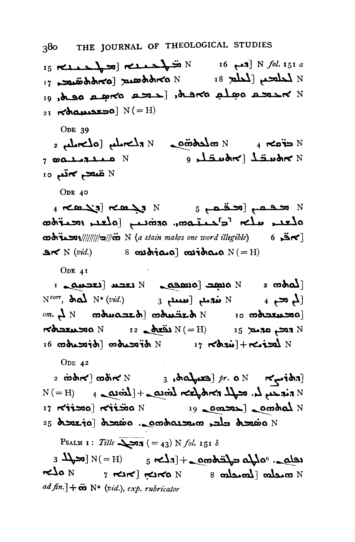Is Kleep (Red Kleep) N = 16 (151 a V fol. 151 a V fol. 151 a V fol. 151 a V N fol. 151 a V N + 151 a V N + 151 a V N + 151 a V N + 151 a V N + 151 a V N + 151 a V N + 151 a V N + 151 a V N + 151 a V N + 151 a V N + 151 a V I mera sala smerb. [era sma a sab. ei 21  $\kappa$ hamszal  $N (= H)$ 

ODE 39

 $\frac{1}{2}$  are the  $\frac{1}{2}$  of  $\frac{1}{2}$  are  $\frac{1}{2}$  and  $\frac{1}{2}$  are  $\frac{1}{2}$  are  $\frac{1}{2}$  are  $\frac{1}{2}$  are  $\frac{1}{2}$  are  $\frac{1}{2}$  are  $\frac{1}{2}$  are  $\frac{1}{2}$  are  $\frac{1}{2}$  are  $\frac{1}{2}$  are  $\frac{1}{2}$  are  $\frac{1}{2}$  $N$  month  $\sum_{i=1}^{n}$  $7$   $\omega$ allard N N **شەد<sub>،</sub> ≻ىتى**م or

ODE  $40$ 

adien als <sup>r</sup>eleures aroing alen revio  $\Delta \sim N$  (vid.) 8 modiana] motora  $N (= H)$ 

ODE 41

 $N^{corr}$ , dal  $N^*(vid.)$  3  $j$   $j$   $k$   $k$   $j$   $k$   $j$  $\sigma m$ .  $\lambda$  N  $\sigma$ duanta  $\delta$  modern  $\lambda$  N  $\sigma$  orders  $\lambda$  $N$  and  $N$   $N = \frac{1}{2}$   $N = H$   $N = 15$   $N = 3$  $N$   $\text{length}$   $\text{width}$   $N$   $\text{width}$   $\text{width}$   $\text{width}$   $\text{width}$   $\text{width}$   $\text{width}$   $\text{width}$   $\text{width}$   $\text{width}$   $\text{width}$   $\text{width}$   $\text{width}$   $\text{width}$   $\text{width}$   $\text{width}$   $\text{width}$   $\text{width}$   $\text{width}$   $\text{width}$   $\text{width}$   $\text{width}$   $\text{width}$   $\text{width}$   $\text{width}$   $\text{width$ 

ODE  $42$ 

 $2 \text{ and } x$  a  $\text{ and } x \in \mathbb{N}$  and  $\text{ and } yr. \text{ or } \text{ } x \in \mathbb{N}$  $N (= H)$   $4 \cdot sinh \left[ \frac{1}{2} + sinh \left( \frac{1}{2} \right) \right]$  $17$   $\lt$ iizio]  $\lt$ iizio N  $19$   $\omega$ mzi  $\omega$ mohal N 25 descrio] desco ... ombarso mede desco N

PSALM 1: Title  $\sqrt{\pi}$  (= 43) N fol. 151 b

3 ملاحد  $\mathbb{R}$  = 11  $\mathbb{R}$  = 11  $\mathbb{R}$  = 11  $\mathbb{R}$  = 11  $\mathbb{R}$  = 121  $\frac{1}{2}$   $\frac{1}{2}$   $\frac{1}{2}$   $\frac{1}{2}$   $\frac{1}{2}$   $\frac{1}{2}$   $\frac{1}{2}$   $\frac{1}{2}$   $\frac{1}{2}$   $\frac{1}{2}$   $\frac{1}{2}$   $\frac{1}{2}$   $\frac{1}{2}$   $\frac{1}{2}$   $\frac{1}{2}$   $\frac{1}{2}$   $\frac{1}{2}$   $\frac{1}{2}$   $\frac{1}{2}$   $\frac{1}{2}$   $\frac{1}{2}$   $\frac{1}{2}$   $ad$  fin.]  $+$   $\bar{c}$  N\* (vid.), exp. rubricator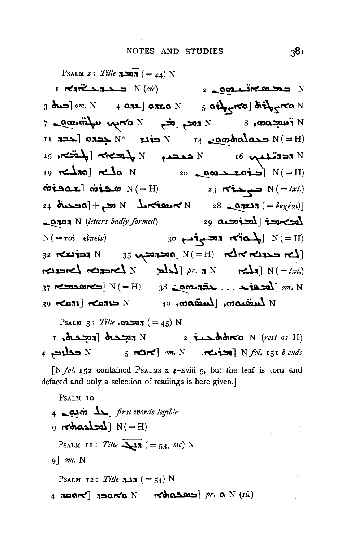**PSALM 2:** Title  $\overline{3} = 3$  (= 44) N  $\mathbf{B}$  and  $\mathbf{F}$  and  $\mathbf{F}$  and  $\mathbf{N}$  and  $\mathbf{F}$  and  $\mathbf{F}$  and  $\mathbf{F}$  $7 - \cos \theta$  when  $N = \pi N$ N Furzom, 8  $\mathbb{R}^{15}$   $\mathbb{R}^{16}$   $\mathbb{R}^{16}$   $\mathbb{R}^{16}$   $\mathbb{R}^{16}$   $\mathbb{R}^{16}$   $\mathbb{R}^{16}$   $\mathbb{R}^{16}$  $\begin{bmatrix} \text{I9} & \text{K}_{10} & \text{K}_{10} & \text{N} & \text{N} & \text{N} & \text{N} & \text{N} & \text{N} & \text{N} & \text{N} & \text{N} & \text{N} & \text{N} & \text{N} & \text{N} & \text{N} & \text{N} & \text{N} & \text{N} & \text{N} & \text{N} & \text{N} & \text{N} & \text{N} & \text{N} & \text{N} & \text{N} & \text{N} & \text{N} & \text{N} & \text{N} & \text{N} & \text{N} & \text{$  $N (= H)$  and  $N (= H)$  $\sim$  23 المعادية  $N(=\text{txt}.)$ 24  $\delta u$  =  $\delta$  =  $\delta x$  =  $\delta x$  =  $\delta x$  =  $\delta x$  =  $\delta x$  =  $\delta x$  =  $\delta x$  =  $\delta x$  =  $\delta x$  =  $\delta x$  =  $\delta x$  =  $\delta x$  =  $\delta x$  =  $\delta x$  =  $\delta x$  =  $\delta x$  =  $\delta x$  =  $\delta x$  =  $\delta x$  =  $\delta x$  =  $\delta x$  =  $\delta x$  =  $\delta x$  =  $\delta x$  =  $\delta x$  =  $\delta$ O.103 N (letters badly formed)  $_{29}$  aratic  $\lambda$  $30$   $\leftarrow$   $\leftarrow$   $\leftarrow$   $\leftarrow$   $\leftarrow$   $\leftarrow$   $\leftarrow$   $\leftarrow$   $\leftarrow$   $\leftarrow$   $\leftarrow$   $\leftarrow$   $\leftarrow$   $\leftarrow$   $\leftarrow$   $\leftarrow$   $\leftarrow$   $\leftarrow$   $\leftarrow$   $\leftarrow$   $\leftarrow$   $\leftarrow$   $\leftarrow$   $\leftarrow$   $\leftarrow$   $\leftarrow$   $\leftarrow$   $\leftarrow$   $\leftarrow$   $\leftarrow$   $\leftarrow$   $\leftarrow$   $\leftarrow$   $\leftarrow$   $\leftarrow$   $\leftarrow$   $N(=\tau o\hat{v} \epsilon \hat{i}\pi \epsilon \hat{i}\nu)$  $_3$ 2  $\kappa$ zius N  $_3$ 5  $\kappa$ zie  $\begin{bmatrix} -H & H \end{bmatrix}$   $\kappa$  $r \cdot x$   $N = |N|$   $\lceil k \rceil$   $\lceil k \rceil$   $\lceil k \rceil$   $\lceil k \rceil$   $\lceil k \rceil$   $\lceil k \rceil$  $\frac{1}{29}$  (*Laman*, 04  $\frac{1}{29}$   $\frac{1}{29}$   $\frac{1}{29}$   $\frac{1}{29}$   $\frac{1}{29}$   $\frac{1}{29}$   $\frac{1}{29}$ PSALM 3: Title  $\overline{.\cdot \cdot \cdot}$  (= 45) N

I Jashi a Fitcher of N (rest as H)  $\sim$  and  $\sim$  N [N  $fol.$  152 contained PSALMS x 4-xviii 5, but the leaf is torn and

defaced and only a selection of readings is here given.]

PSALM TO  $\sum$   $\alpha$   $\alpha$   $\sum$  first words legible  $9$   $\forall$ bast $\exists N$   $N (= H)$ PSALM II: Title  $\overline{\phantom{A}}$   $\overline{\phantom{A}}$   $( = 53, \text{ sic})$  N  $q$ ] om. N **PSALM 12:** Title  $\overline{3,3}$  (= 54) N

 $\sim$  1 האסכד  $\sim$  M האסכד  $p$ r. a N (sic)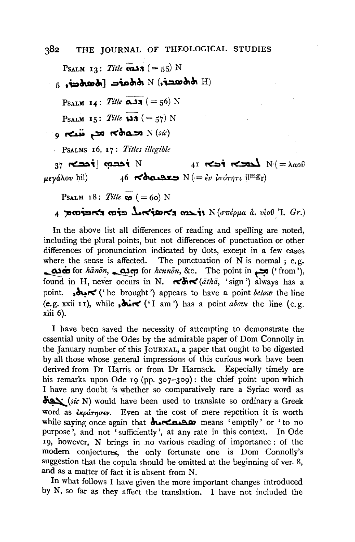$P_{SALM}$  13: *Title*  $\overline{S233}$  (= 55) N

 $_{5}$ ,  $_{3}$  ,  $_{5}$  ,  $_{6}$   $_{6}$   $_{6}$   $_{7}$   $_{6}$   $_{8}$   $_{7}$   $_{8}$   $_{9}$   $_{10}$   $_{10}$   $_{10}$   $_{11}$   $_{10}$   $_{11}$ 

**PSALM 14:** Title  $\overline{a\cdot\cdot\cdot} = 56$  N

**PSALM 15:** *Title*  $\overline{M3}$  (=57) N

<sup>9</sup>~ ~ **r<c\,o.!:G** N *(szc)* 

PSALMS 16, 17: Titles illegible

 $_{37}$   $_{37}$   $_{41}$   $_{52}$   $_{7}$   $_{82}$   $_{800}$   $_{97}$   $_{1000}$   $_{41}$   $_{52}$   $_{7}$   $_{700}$   $_{800}$  $\mu \epsilon \gamma d \lambda$ ov hil) 46 **rdatar** N (=  $\epsilon v$  *la drinte* il mg<sub>r</sub>)

PSALM 18:  $Title \ \bullet$  (= 60) N

**4 p m = < x m = L κίωκ; m x i N (σπέρμα** *a. viov* **'I. Gr.)** 

In the above list all differences of reading and spelling are noted, including the plural points, but not differences of punctuation or other differences of pronunciation indicated by dots, except in a few cases where the sense is affected. The punctuation of  $N$  is normal ; e.g. ~m for *hiinon,* ~cp for *hennon,* &c. The point in ~ ('from'), found in H, never occurs in N. **Kont** (atha, 'sign') always has a point.  $\sqrt{d}$  ('he brought') appears to have a point *below* the line (e.g. xxii 11), while  $\overrightarrow{obs}$  ('I am') has a point *above* the line (e.g. xlii 6).

I have been saved the necessity of attempting to demonstrate the essential unity of the Odes by the admirable paper of Dom Connolly in the January number of this JOURNAL, a paper that ought to be digested by all those whose general impressions of this curious work have been derived from Dr Harris or from Dr Harnack. Especially timely are his remarks upon Ode 19 (pp. 307-309): the chief point upon which I have any doubt is whether so comparatively rare a Syriac word as  $\frac{\partial}{\partial x}$  (sic N) would have been used to translate so ordinary a Greek word as  $\epsilon_{Kp}\Delta_{T\eta\sigma\epsilon\mathbf{v}}$ . Even at the cost of mere repetition it is worth while saying once again that  $\frac{1}{\sqrt{N}}$  means 'emptily' or 'to no purpose', and not 'sufficiently', at any rate in this context. In Ode 19, however, N brings in no various reading of importance: of the modern conjectures, the only fortunate one is Dom Connolly's suggestion that the copula should be omitted at the beginning of ver. 8, and as a matter of fact it is absent from N.

In what follows I have given the more important changes introduced by N, so far as they affect the translation. I have not included the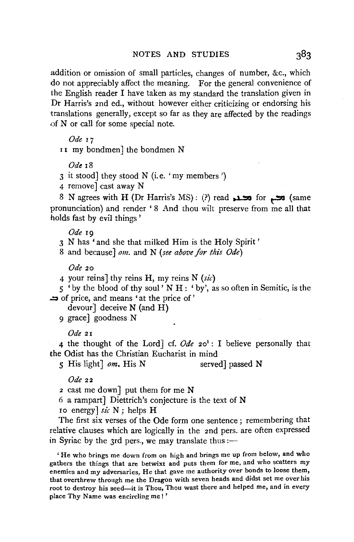addition or omission of small particles, changes of number, &c., which do not appreciably affect the meaning. For the general convenience of the English reader I have taken as my standard the translation given in Dr Harris's 2nd ed., without however either criticizing or endorsing his translations generally, except so far as they are affected by the readings of N or call for some special note.

*Ode* 17

II my bondmen] the bondmen N

*Ode* 18

3 it stood] they stood N (i.e. 'my members')

4 remove] cast away N

8 N agrees with H (Dr Harris's MS): (?) read  $\overline{\bullet}$  for  $\overline{\bullet}$  (same pronunciation) and render ' 8 And thou wilt preserve from me all that holds fast by evil things '

*Ode* 19

3 N has 'and she that milked Him is the Holy Spirit '

8 and because] *om.* and N *(see above for this Ode)* 

*Ode* 20

4 your reins] thy reins H, my reins N *(sic)* 

5 'by the blood of thy soul' N H: 'by', as so often in Semitic, is the of price, and means 'at the price of'

devour] deceive  $N$  (and  $H$ )

9 grace] goodness N

*Ode* 21

4 the thought of the Lord] cf. *Ode*  $20^1$ : I believe personally that the Odist has the Christian Eucharist in mind

5 His light] *om*. His N served] passed N

*Ode* 22

2 cast me down] put them for me N

6 a rampart] Diettrich's conjecture is the text of N

ro energy J *si'c* N; helps H

The first six verses of the Ode form one sentence; remembering that relative clauses which are logically in the 2nd pers. are often expressed in Syriac by the 3rd pers., we may translate thus  $:$ -

' He who brings me down from on high and brings me up from below, and who .gathers the things that are betwixt and puts them for me, and who scatters my enemies and my adversaries, He that gave me authority over bonds to loose them, that overthrew through me the Dragon with seven heads and didst set me over his root to destroy his seed-it is Thou, Thou wast there and helped me, and in every place Thy Name was encircling me! '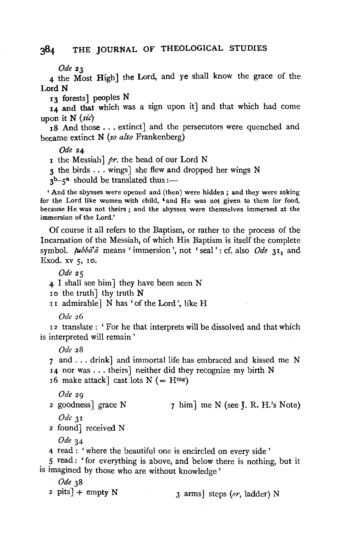*Ode* 23

4 the Most High] the Lord, and ye shall know the grace of the Lord N

13 forests] peoples N

14 and that which was a sign upon it] and that which had come upon it N *(sic)* 

r8 And those ..• extinct] and the persecutors were quenched and became extinct N *(so also* Frankenberg)

*Ode* 24

 $\mathbf{I}$  the Messiah] *pr*. the head of our Lord N

3 the birds ... wings] she flew and dropped her wings N

 $3^{b-5^a}$  should be translated thus:—

'And the abysses were opened and (then) were hidden; and they were asking for the Lord like women with child, 4 and He was not given to them for food, because He was not theirs ; and the abysses were themselves immersed at the immersion of the Lord.'

Of course it all refers to the Baptism, or rather to the process of the Incarnation of the Messiah, of which His Baptism is itself the complete symbol.  $\mu\nu b\bar{b}\bar{a}$ <sup>t</sup> means 'immersion', not 'seal': cf. also *Ode*  $31$ <sup>2</sup> and Exod. xv 5, 10.

*Ode* 25

4 I shall see him] they have been seen N

10 the truth] thy truth N

II admirable] N has 'of the Lord', like H

*Ode* 26

I 2 translate : ' For he that interprets will be dissolved and that which is interpreted will remain '

*Ode* 28

7 and ... drink] and immortal life has embraced and kissed me N 14 nor was ... theirs] neither did they recognize my birth N 16 make attack cast lots N (=  $H<sup>mg</sup>$ )

*Ode* 29

2 goodness] grace N  $7 \text{ him}$  me N (see J. R. H.'s Note) *Ode* 3I

2 found] received N

*Ode* 34

4 read : ' where the beautiful one is encircled on every side '

5 read : 'for everything is above, and below there is nothing, but it is imagined by those who are without knowledge'

 $2 \text{ pits} + \text{empty N}$  3 arms steps (or, ladder) N

*Ode* 38